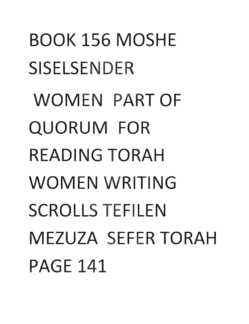# BOOK 156 MOSHE **SISELSENDER** WOMEN PART OF QUORUM FOR READING TORAH WOMEN WRITING SCROLLS TEFILEN MEZUZA SEFER TORAH **PAGE 141**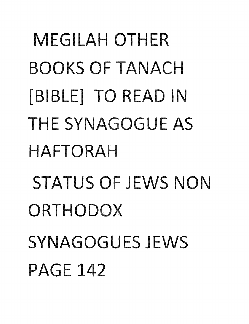# MEGILAH OTHER BOOKS OF TANACH [BIBLE] TO READ IN THE SYNAGOGUE AS HAFTORAH STATUS OF JEWS NON **ORTHODOX** SYNAGOGUES JEWS **PAGF 142**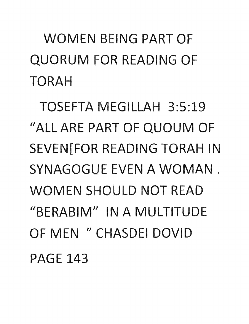### WOMEN BEING PART OF QUORUM FOR READING OF TORAH

TOSEFTA MEGILLAH 3:5:19 "ALL ARE PART OF **QUOUM** OF SEVEN[FOR READING TORAH IN SYNAGOGUE EVEN A WOMAN. WOMEN SHOULD NOT READ "BERABIM" IN A MULTITUDE OF MEN " CHASDEI DOVID PAGE 143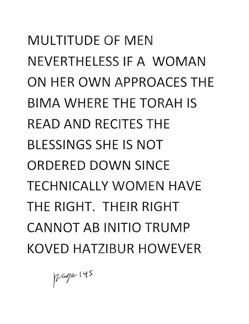**MULTITUDE OF MEN** NEVERTHELESS IF A WOMAN **ON HER OWN APPROACES THE** BIMA **WH** E THE **TO AH** IS **READ AND RECITES THE BLESSINGS SHE IS NOT** ORDERED **DOWN** SINCE **TECHNICALLY WOMEN HAVE** THE RIGHT. **TH** IR RIGHT **CANNOT AB INITIO TRUMP** KOVED HATZIBUR HOWEVER

page 145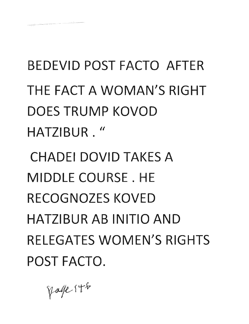**BEDEVID POST FACTO AFTER** THE FACT A WOMAN'S RIGHT DOES TRUMP KOVOD HATZIBUR." CHADEI DOVID TAKES A **MIDDLE COURSE. HE** RECOGNOZES KOVED HATZIBUR AB INITIO **AND** 

RELEGATES WOMEN'S RIGHTS POST FACTO.

Page 148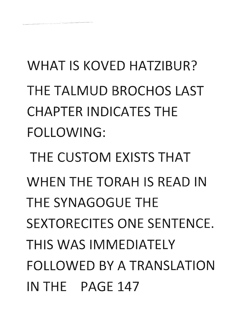WHAT IS KOVED HATZIBUR? THE TALMUD BROCHOS LAST CHAPTER INDICATES THE FOLLOWING: THE CUSTOM EXISTS THAT WHEN THE TORAH IS READ IN THE SYNAGOGUE THE SEXTORECITES ONE SENTENCE. THIS WAS IMMEDIATELY FOLLOWED BY A TRANSLATION IN THE PAGE 147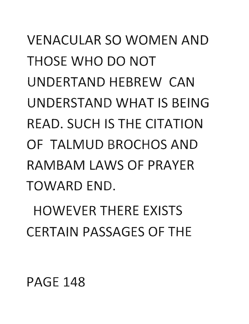### VENACULAR SO WOMEN AND THOSE WHO DO NOT UNDERTAND HEBREW CAN UNDERSTAND WHAT IS BEING READ. SUCH IS THE CITATION OF TALMUD BROCHOS AND RAMBAM LAWS OF PRAYER TOWARD END.

HOWEVER THERE EXISTS CERTAIN PASSAGES OF THE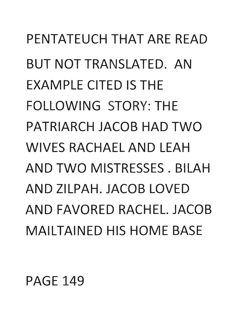## FOLLOWING STORY: THE PATRIARCH JACOB **HAD TWO**  WIVES RACHAEL **AND** LEAH **AND TWO MISTRESSES. BILAH AND** ZILPAH. JACOB LOVED **AND** FAVORED RACHEL. JACOB MAILTAINED HIS HOME BASE

**PENTATEUCH THAT ARE READ** 

**BUT NOT TRANSLATED. AN** 

EXAMPLE CITED IS THE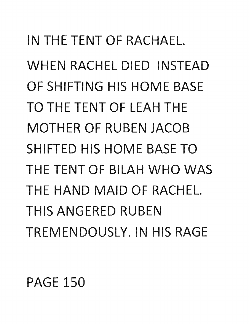IN THE TENT OF RACHAFI. WHEN RACHEL DIED INSTEAD OF SHIFTING HIS HOME BASE TO THE TENT OF LEAH THE **MOTHER OF RUBEN JACOB** SHIFTED HIS HOME BASE **TO**  THE TENT OF BILAH **WHO** WAS THE **HAND** MAID OF RACHEL. THIS ANGERED RUBEN TREMENDOUSLY. IN HIS RAGE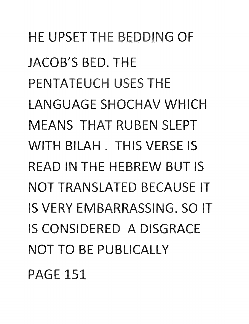HE UPSET THE BEDDING OF JACOB'S BED. THE PENTATEUCH USES THE LANGUAGE SHOCHAV WHICH **MEANS THAT RUBEN SLEPT** WITH BILAH. THIS VERSE IS READ IN THE HEBREW BUT IS **NOT TRANSLATED BECAUSE IT** IS VERY EMBARRASSING. SO IT IS CONSIDERED A DISGRACE **NOT TO** BE PUBLICALLY **PAGE 151**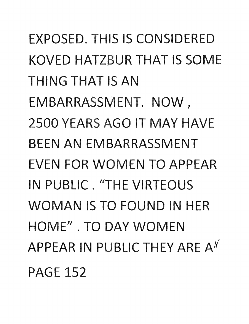EXPOSED. HIS IS CONSIDERED KOVED HATZBUR THAT IS SOME THING **THAT IS AN**  EMBARRASSMENT. NOW, 2500 YEA **GO IT MAY** HAVE BEEN **AN** EMBARRASSMENT EVEN FOR WOMEN TO APPEAR IN PUBLIC. "THE VIRTEOUS **WOMAN IS TO** FOUND IN HER HOME" . **TO DAY** WOMEN APPEAR IN PUBLIC THEY ARF  $A^N$ PAGE 152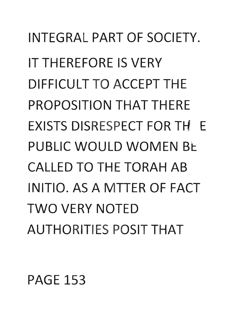### PAGE 153

INTEGRAL PART OF SOCIETY. IT THEREFORE IS VERY DIFFICULT TO ACCEPT THE PROPOSITION **THAT** THERE EXISTS DISRESPECT FOR TH-PUBLIC WOULD WOMEN BE CALLED TO THE TORAH AB INITIO. AS A MTTER OF FACT **TWO VERY NOTED AUTHORITIES POSIT THAT**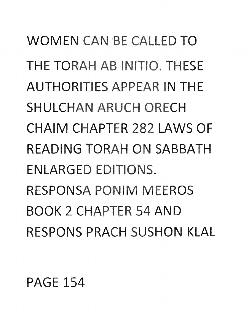WOMEN CAN BE CALLED TO THE TORAH AB INITIO. THESE **AUTHORITIES APPEAR IN THE SHULCHAN ARUCH ORECH** CHAIM CHAPTER 282 LAWS OF READING TORAH ON SABBATH ENLARGED EDITIONS. **RESPONSA PONIM MEEROS BOOK 2 CHAPTER 54 AND** RESPONS PRACH SUSHON KLAL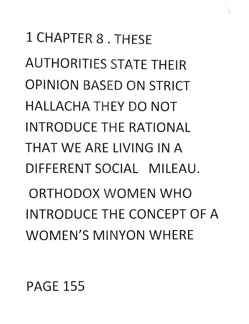#### PAGE 155

1 CHAPTER 8 . THESE AUTHORITIES STATE THEIR OPINION BASED ON STRICT HALLACHA THEY DO NOT INTRODUCE THE RATIONAL THAT WE ARE LIVING IN A DIFFERENT SOCIAL MILEAU. ORTHODOX WOMEN WHO INTRODUCE THE CONCEPT OF A WOMEN'S MINYON WHERE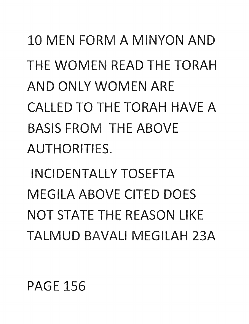10 MEN FORM A MINYON AND THE WOMEN READ THE TORAH AND ONLY WOMEN ARE CALLED TO THE TORAH HAVE A **BASIS FROM THE ABOVE AUTHORITIES.** 

**INCIDENTALLY TOSEFTA MEGILA ABOVE CITED DOES** NOT STATE THE REASON LIKE TALMUD BAVALI MEGILAH 23A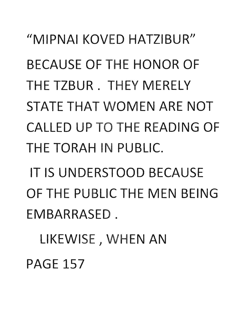"MIPNAI KOVED HATZIBUR" BECAUSE OF THE HONOR OF THE TZBUR. THEY MERELY STATE THAT WOMEN ARE NOT CALLED UP TO THE READING OF THE TORAH IN PUBLIC.

**IT IS UNDERSTOOD BECAUSE** OF THE PUBLIC THE MEN BFING EMBARRASED.

LIKEWISE, WHEN AN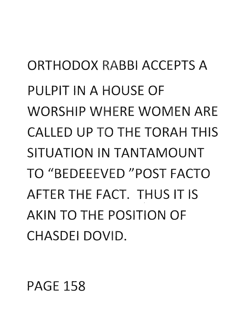ORTHODOX RABBI ACCEPTS A PULPIT IN A HOUSE OF WORSHIP WHERE WOMEN ARE CALLED UP TO THE TORAH THIS SITUATION IN **TANTAMOUNT**  TO "BEDEEEVED "POST FACTO AFTER THE FACT. THUS IT IS **AKIN TO THE POSITION OF** CHASDEI DOVID.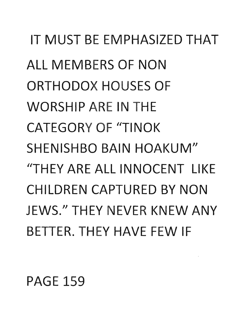#### **PAGE 159**

ALL MEMBERS OF NON ORTHODOX HOUSES OF WORSHIP ARE IN THE **CATEGORY OF "TINOK SHENISHBO BAIN HOAKUM"** "THEY ARE ALL INNOCENT LIKE CHILDREN CAPTURED BY NON JEWS." THEY NEVER KNEW ANY BETTER. THEY HAVE FEW IF

IT MUST BE EMPHASIZED THAT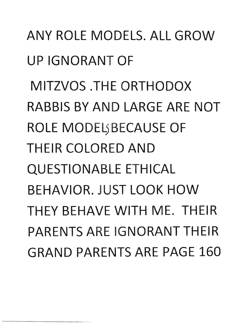ANY ROLE MODELS. ALL GROW UP IGNORANT OF MITZVOS .THE ORTHODOX RABBIS BY AND LARGE ARE NOT ROLE MODELSBECAUSE OF THEIR COLORED AND QUESTIONABLE ETHICAL BEHAVIOR. JUST LOOK HOW THEY BEHAVE WITH ME. THEIR PARENTS ARE IGNORANT THEIR GRAND PARENTS ARE PAGE 160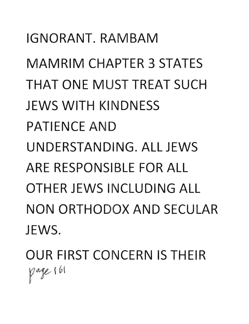IGNORANT, RAMBAM MAMRIM CHAPTER 3 STATES **THAT ONE MUST TREAT SUCH JEWS WITH KINDNESS** PATIENCE AND UNDERSTANDING. All JEWS ARE RESPONSIBLE FOR ALL OTHER JEWS INCLUDING ALL **NON ORTHODOX AND SECULAR** JEWS.

OUR FIRST CONCERN IS THEIR page 161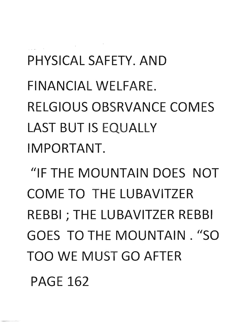PAGE 162

"IF THE MOUNTAIN DOES NOT COME TO THE LUBAVITZER REBBI ; THE LUBAVITZER REBBI GOES TO THE MOUNTAIN. "SO TOO WE MUST GO AFTER

PHYSICAL SAFETY, AND FINANCIAL WELFARE. RELGIOUS OBSRVANCE COMES LAST BUT IS L IMPORTANT.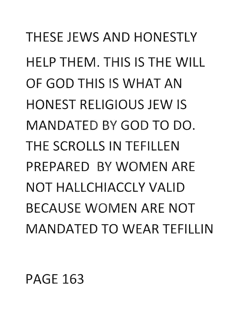## THESE JEWS **AND** HONESTLY HELP THEM. THIS IS THE WILL **OF GOD THIS IS WHAT AN** HONEST RELIGIOUS JEW IS **MANDATED BY GOD TO DO.** THE SCROLLS IN TEFILLEN PREPARED BY WOMEN ARE **NOT** HALLCHIACCLY VALID **BECAUSE WOMEN ARE NOT MANDATED TO** WEAR TEFILLIN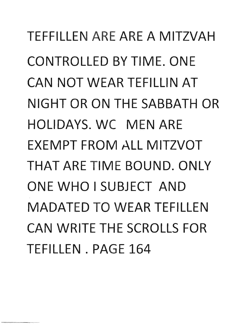TEFFILLEN ARE ARE A MITZVAH CONTROLLED BY TIME. ONE **CAN NOT** WEAR TEFILLIN **AT NIGHT OR ON THE SABBATH OR** HOLIDAYS. WC MEN ARE EXEMPT FROM ALL MITZVOT **THAT ARE TIME BOUND. ONLY** ONE **WHO** I SUBJECT **AND MADATED TO WEAR TEFILLEN CAN WRITE THE SCROLLS FOR** TEFILLEN. PAGE 164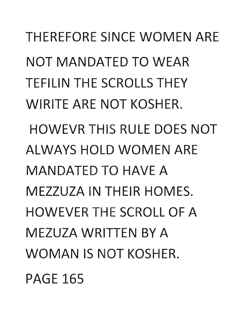THEREFORE SINCE WOMEN ARE NOT MANDATED TO WEAR TEFILIN THE SCROLLS THEY WIRITE ARE NOT KOSHER. HOWEVR THIS RULE DOES NOT ALWAYS HOLD WOMEN ARE MANDATED TO HAVE A MEZZUZA IN THEIR HOMES. HOWEVER THE SCROLL OF A MEZUZA WRITTEN BY A WOMAN IS NOT KOSHER. PAGE 165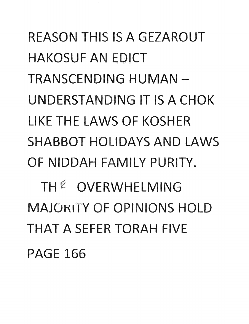REASON THIS IS A GEZAROUT **HAKOSUF AN EDICT** TRANSCENDING HUMAN -UNDERSTANDING IT IS A CHOK LIKE THE LAWS OF KOSHER **SHABBOT HOLIDAYS AND LAWS** OF NIDDAH FAMILY PURITY. TH<sup>E</sup> OVERWHELMING **MAJORITY OF OPINIONS HOLD** THAT A SEFER TORAH FIVE **PAGE 166**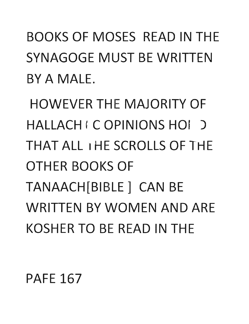BOOKS OF MOSES READ IN THE SYNAGOGE MUST BE WRITTEN BY A MALE.

**HOWEVER THE MAJORITY OF** HALLACH' C OPINIONS HOI ) **T AT** ALL I HE SCROLLS OF **TH**  OTHER BOOKS OF TANAACH[BIBLE ] CAN BE WRITTEN BY WOMEN **AND** ARE KOSHER TO BE READ IN THE

PAFE 167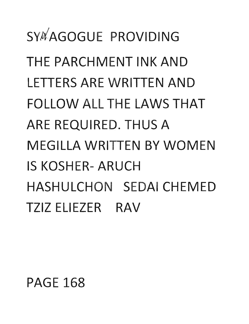SYMAGOGUE PROVIDING **THE PARCHMENT INK AND** LETTERS ARE RITTEN **AND**  FOLLOW ALL THE LAWS THAT ARE REQUIRED. THUS A **MEGILLA WRITTEN BY WOMEN** IS KOSHER- ARUCH HASHULCHON SEDAI CHEMED TZIZ ELIEZER RAV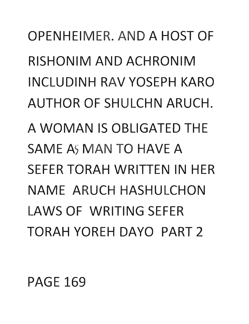OPENHEIMER, AND A HOST OF RISHONIM AND ACHRONIM INCLUDINH RAV YOSEPH KARO AUTHOR OF SHULCHN ARUCH. A WOMAN IS OBLIGATED TH SAME AS MAN TO HAVE A SFFFR TORAH WRITTEN IN HFR NAME ARUCH HASHULCHON LAWS OF WRITING SEFER TORAH YOREH DAYO PART 2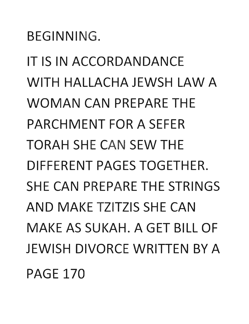**BEGINNING.** 

IT IS IN ACCORDANDANCE WITH HALLACHA JEWSH LAW A WOMAN CAN PREPARE THE PARCHMENT FOR A SEFER TORAH SHE CAN SEW THE DIFFERENT PAGES TOGETHER. SHE CAN PREPARE THE STRINGS AND MAKE TZITZIS SHE CAN MAKE AS SUKAH. A GET BILL OF JEWISH DIVORCE WRITTEN BY A PAGE 170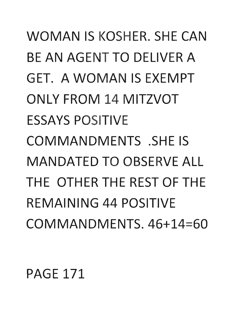WOMAN IS KOSHER, SHE CAN BE AN AGENT TO DELIVER A GET. A WOMAN IS EXEMPT ONLY FROM 14 MITZVOT **ESSAYS POSITIVE** COMMANDMENTS .SHE IS MANDATED TO OBSERVE ALL THE OTHER THE REST OF THE REMAINING 44 POSITIVE COMMANDMENTS. 46+14=60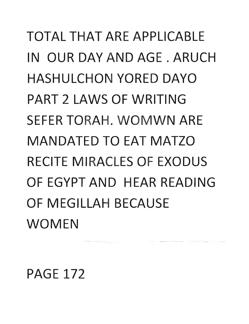### TOTAL THAT ARE APPLICABLE IN OUR DAY AND AGE, ARUCH HASHULCHON YORED DAYO PART 2 LAWS OF WRITING SEFER TORAH. WOMWN ARE MANDATED TO EAT MATZO RECITE MIRACLES OF EXODUS OF EGYPT AND HEAR READING OF MEGILLAH BECAUSE WOMEN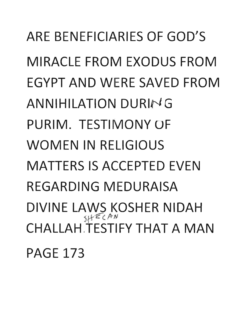ARE BENEFICIARIES OF GOD'S **MIRACLE FROM EXODUS FROM** EGYPT AND WERE SAVED FROM ANNIHILATION DURING PURIM. TESTIMONY OF **WOMEN IN RELIGIOUS MATTERS IS ACCEPTED FVEN** REGARDING MEDURAISA DIVINE LAWS KOSHER NIDAH CHALLAH TESTIFY THAT A MAN **PAGE 173**